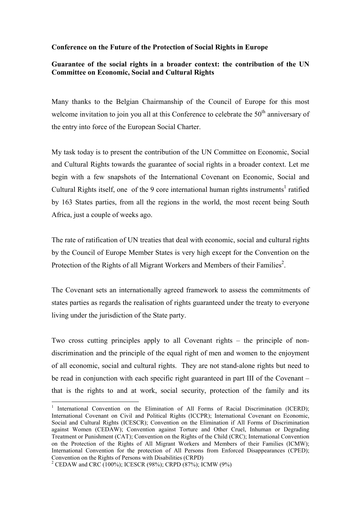## **Conference on the Future of the Protection of Social Rights in Europe**

## **Guarantee of the social rights in a broader context: the contribution of the UN Committee on Economic, Social and Cultural Rights**

Many thanks to the Belgian Chairmanship of the Council of Europe for this most welcome invitation to join you all at this Conference to celebrate the  $50<sup>th</sup>$  anniversary of the entry into force of the European Social Charter.

My task today is to present the contribution of the UN Committee on Economic, Social and Cultural Rights towards the guarantee of social rights in a broader context. Let me begin with a few snapshots of the International Covenant on Economic, Social and Cultural Rights itself, one of the 9 core international human rights instruments<sup>[1](#page-0-0)</sup> ratified by 163 States parties, from all the regions in the world, the most recent being South Africa, just a couple of weeks ago.

The rate of ratification of UN treaties that deal with economic, social and cultural rights by the Council of Europe Member States is very high except for the Convention on the Protection of the Rights of all Migrant Workers and Members of their Families<sup>[2](#page-0-1)</sup>.

The Covenant sets an internationally agreed framework to assess the commitments of states parties as regards the realisation of rights guaranteed under the treaty to everyone living under the jurisdiction of the State party.

Two cross cutting principles apply to all Covenant rights – the principle of nondiscrimination and the principle of the equal right of men and women to the enjoyment of all economic, social and cultural rights. They are not stand-alone rights but need to be read in conjunction with each specific right guaranteed in part III of the Covenant – that is the rights to and at work, social security, protection of the family and its

<span id="page-0-0"></span><sup>&</sup>lt;sup>1</sup> [International Convention on the Elimination of All Forms of Racial Discrimination](http://www2.ohchr.org/english/law/cerd.htm) (ICERD); International Covenant on Civil and Political Rights (ICCPR); International Covenant on Economic, Social and Cultural Rights (ICESCR); Convention on the Elimination if All Forms of Discrimination against Women (CEDAW); Convention against Torture and Other Cruel, Inhuman or Degrading Treatment or Punishment (CAT); Convention on the Rights of the Child (CRC); International Convention on the Protection of the Rights of All Migrant Workers and Members of their Families (ICMW); International Convention for the protection of All Persons from Enforced Disappearances (CPED); Convention on the Rights of Persons with Disabilities (CRPD)

<span id="page-0-1"></span><sup>&</sup>lt;sup>2</sup> CEDAW and CRC (100%); ICESCR (98%); CRPD (87%); ICMW (9%)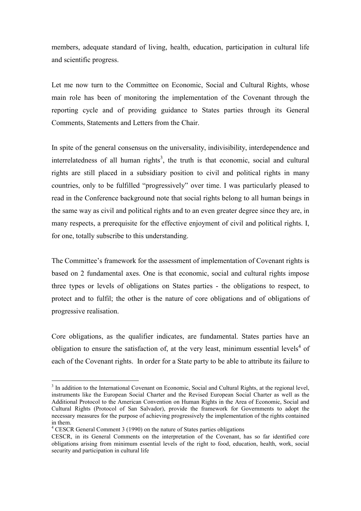members, adequate standard of living, health, education, participation in cultural life and scientific progress.

Let me now turn to the Committee on Economic, Social and Cultural Rights, whose main role has been of monitoring the implementation of the Covenant through the reporting cycle and of providing guidance to States parties through its General Comments, Statements and Letters from the Chair.

In spite of the general consensus on the universality, indivisibility, interdependence and interrelatedness of all human rights<sup>[3](#page-1-0)</sup>, the truth is that economic, social and cultural rights are still placed in a subsidiary position to civil and political rights in many countries, only to be fulfilled "progressively" over time. I was particularly pleased to read in the Conference background note that social rights belong to all human beings in the same way as civil and political rights and to an even greater degree since they are, in many respects, a prerequisite for the effective enjoyment of civil and political rights. I, for one, totally subscribe to this understanding.

The Committee's framework for the assessment of implementation of Covenant rights is based on 2 fundamental axes. One is that economic, social and cultural rights impose three types or levels of obligations on States parties - the obligations to respect, to protect and to fulfil; the other is the nature of core obligations and of obligations of progressive realisation.

Core obligations, as the qualifier indicates, are fundamental. States parties have an obligation to ensure the satisfaction of, at the very least, minimum essential levels<sup>[4](#page-1-1)</sup> of each of the Covenant rights. In order for a State party to be able to attribute its failure to

<span id="page-1-0"></span><sup>&</sup>lt;sup>3</sup> In addition to the International Covenant on Economic, Social and Cultural Rights, at the regional level, instruments like the European Social Charter and the Revised European Social Charter as well as the Additional Protocol to the American Convention on Human Rights in the Area of Economic, Social and Cultural Rights (Protocol of San Salvador), provide the framework for Governments to adopt the necessary measures for the purpose of achieving progressively the implementation of the rights contained in them.

<span id="page-1-1"></span><sup>&</sup>lt;sup>4</sup> CESCR General Comment 3 (1990) on the nature of States parties obligations

CESCR, in its General Comments on the interpretation of the Covenant, has so far identified core obligations arising from minimum essential levels of the right to food, education, health, work, social security and participation in cultural life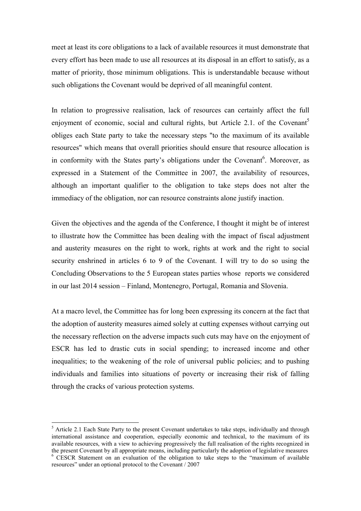meet at least its core obligations to a lack of available resources it must demonstrate that every effort has been made to use all resources at its disposal in an effort to satisfy, as a matter of priority, those minimum obligations. This is understandable because without such obligations the Covenant would be deprived of all meaningful content.

In relation to progressive realisation, lack of resources can certainly affect the full enjoyment of economic, social and cultural rights, but Article 2.1. of the Covenant<sup>[5](#page-2-0)</sup> obliges each State party to take the necessary steps "to the maximum of its available resources" which means that overall priorities should ensure that resource allocation is in conformity with the States party's obligations under the Covenant<sup>[6](#page-2-1)</sup>. Moreover, as expressed in a Statement of the Committee in 2007, the availability of resources, although an important qualifier to the obligation to take steps does not alter the immediacy of the obligation, nor can resource constraints alone justify inaction.

Given the objectives and the agenda of the Conference, I thought it might be of interest to illustrate how the Committee has been dealing with the impact of fiscal adjustment and austerity measures on the right to work, rights at work and the right to social security enshrined in articles 6 to 9 of the Covenant. I will try to do so using the Concluding Observations to the 5 European states parties whose reports we considered in our last 2014 session – Finland, Montenegro, Portugal, Romania and Slovenia.

At a macro level, the Committee has for long been expressing its concern at the fact that the adoption of austerity measures aimed solely at cutting expenses without carrying out the necessary reflection on the adverse impacts such cuts may have on the enjoyment of ESCR has led to drastic cuts in social spending; to increased income and other inequalities; to the weakening of the role of universal public policies; and to pushing individuals and families into situations of poverty or increasing their risk of falling through the cracks of various protection systems.

<span id="page-2-0"></span> $<sup>5</sup>$  Article 2.1 Each State Party to the present Covenant undertakes to take steps, individually and through</sup> international assistance and cooperation, especially economic and technical, to the maximum of its available resources, with a view to achieving progressively the full realisation of the rights recognized in the present Covenant by all appropriate means, including particularly the adoption of legislative measures <sup>6</sup> CESCR Statement on an evaluation of the obligation to take steps to the "maximum of available

<span id="page-2-1"></span>resources" under an optional protocol to the Covenant / 2007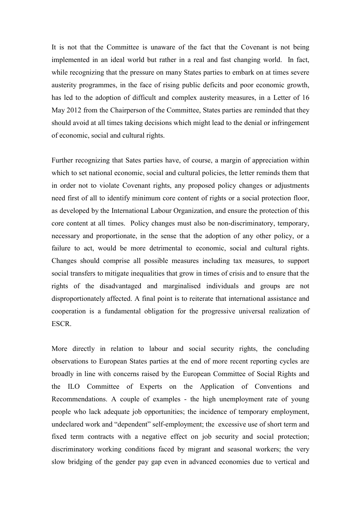It is not that the Committee is unaware of the fact that the Covenant is not being implemented in an ideal world but rather in a real and fast changing world. In fact, while recognizing that the pressure on many States parties to embark on at times severe austerity programmes, in the face of rising public deficits and poor economic growth, has led to the adoption of difficult and complex austerity measures, in a Letter of 16 May 2012 from the Chairperson of the Committee, States parties are reminded that they should avoid at all times taking decisions which might lead to the denial or infringement of economic, social and cultural rights.

Further recognizing that Sates parties have, of course, a margin of appreciation within which to set national economic, social and cultural policies, the letter reminds them that in order not to violate Covenant rights, any proposed policy changes or adjustments need first of all to identify minimum core content of rights or a social protection floor, as developed by the International Labour Organization, and ensure the protection of this core content at all times. Policy changes must also be non-discriminatory, temporary, necessary and proportionate, in the sense that the adoption of any other policy, or a failure to act, would be more detrimental to economic, social and cultural rights. Changes should comprise all possible measures including tax measures, to support social transfers to mitigate inequalities that grow in times of crisis and to ensure that the rights of the disadvantaged and marginalised individuals and groups are not disproportionately affected. A final point is to reiterate that international assistance and cooperation is a fundamental obligation for the progressive universal realization of **ESCR** 

More directly in relation to labour and social security rights, the concluding observations to European States parties at the end of more recent reporting cycles are broadly in line with concerns raised by the European Committee of Social Rights and the ILO Committee of Experts on the Application of Conventions and Recommendations. A couple of examples - the high unemployment rate of young people who lack adequate job opportunities; the incidence of temporary employment, undeclared work and "dependent" self-employment; the excessive use of short term and fixed term contracts with a negative effect on job security and social protection; discriminatory working conditions faced by migrant and seasonal workers; the very slow bridging of the gender pay gap even in advanced economies due to vertical and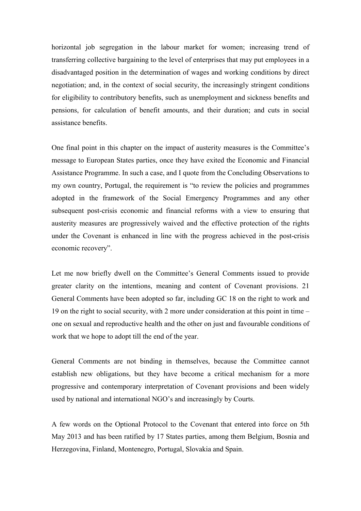horizontal job segregation in the labour market for women; increasing trend of transferring collective bargaining to the level of enterprises that may put employees in a disadvantaged position in the determination of wages and working conditions by direct negotiation; and, in the context of social security, the increasingly stringent conditions for eligibility to contributory benefits, such as unemployment and sickness benefits and pensions, for calculation of benefit amounts, and their duration; and cuts in social assistance benefits.

One final point in this chapter on the impact of austerity measures is the Committee's message to European States parties, once they have exited the Economic and Financial Assistance Programme. In such a case, and I quote from the Concluding Observations to my own country, Portugal, the requirement is "to review the policies and programmes adopted in the framework of the Social Emergency Programmes and any other subsequent post-crisis economic and financial reforms with a view to ensuring that austerity measures are progressively waived and the effective protection of the rights under the Covenant is enhanced in line with the progress achieved in the post-crisis economic recovery".

Let me now briefly dwell on the Committee's General Comments issued to provide greater clarity on the intentions, meaning and content of Covenant provisions. 21 General Comments have been adopted so far, including GC 18 on the right to work and 19 on the right to social security, with 2 more under consideration at this point in time – one on sexual and reproductive health and the other on just and favourable conditions of work that we hope to adopt till the end of the year.

General Comments are not binding in themselves, because the Committee cannot establish new obligations, but they have become a critical mechanism for a more progressive and contemporary interpretation of Covenant provisions and been widely used by national and international NGO's and increasingly by Courts.

A few words on the Optional Protocol to the Covenant that entered into force on 5th May 2013 and has been ratified by 17 States parties, among them Belgium, Bosnia and Herzegovina, Finland, Montenegro, Portugal, Slovakia and Spain.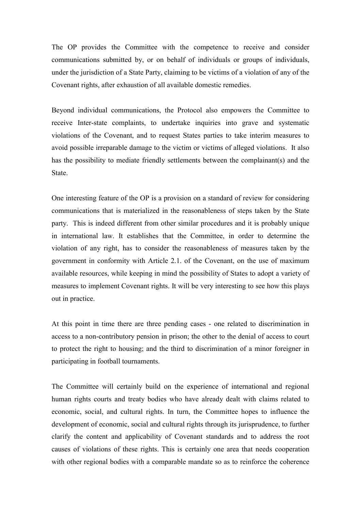The OP provides the Committee with the competence to receive and consider communications submitted by, or on behalf of individuals or groups of individuals, under the jurisdiction of a State Party, claiming to be victims of a violation of any of the Covenant rights, after exhaustion of all available domestic remedies.

Beyond individual communications, the Protocol also empowers the Committee to receive Inter-state complaints, to undertake inquiries into grave and systematic violations of the Covenant, and to request States parties to take interim measures to avoid possible irreparable damage to the victim or victims of alleged violations. It also has the possibility to mediate friendly settlements between the complainant(s) and the State.

One interesting feature of the OP is a provision on a standard of review for considering communications that is materialized in the reasonableness of steps taken by the State party. This is indeed different from other similar procedures and it is probably unique in international law. It establishes that the Committee, in order to determine the violation of any right, has to consider the reasonableness of measures taken by the government in conformity with Article 2.1. of the Covenant, on the use of maximum available resources, while keeping in mind the possibility of States to adopt a variety of measures to implement Covenant rights. It will be very interesting to see how this plays out in practice.

At this point in time there are three pending cases - one related to discrimination in access to a non-contributory pension in prison; the other to the denial of access to court to protect the right to housing; and the third to discrimination of a minor foreigner in participating in football tournaments.

The Committee will certainly build on the experience of international and regional human rights courts and treaty bodies who have already dealt with claims related to economic, social, and cultural rights. In turn, the Committee hopes to influence the development of economic, social and cultural rights through its jurisprudence, to further clarify the content and applicability of Covenant standards and to address the root causes of violations of these rights. This is certainly one area that needs cooperation with other regional bodies with a comparable mandate so as to reinforce the coherence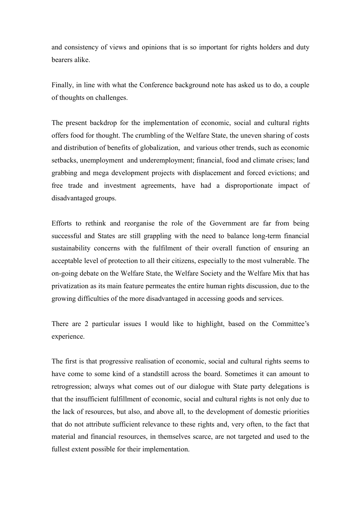and consistency of views and opinions that is so important for rights holders and duty bearers alike.

Finally, in line with what the Conference background note has asked us to do, a couple of thoughts on challenges.

The present backdrop for the implementation of economic, social and cultural rights offers food for thought. The crumbling of the Welfare State, the uneven sharing of costs and distribution of benefits of globalization, and various other trends, such as economic setbacks, unemployment and underemployment; financial, food and climate crises; land grabbing and mega development projects with displacement and forced evictions; and free trade and investment agreements, have had a disproportionate impact of disadvantaged groups.

Efforts to rethink and reorganise the role of the Government are far from being successful and States are still grappling with the need to balance long-term financial sustainability concerns with the fulfilment of their overall function of ensuring an acceptable level of protection to all their citizens, especially to the most vulnerable. The on-going debate on the Welfare State, the Welfare Society and the Welfare Mix that has privatization as its main feature permeates the entire human rights discussion, due to the growing difficulties of the more disadvantaged in accessing goods and services.

There are 2 particular issues I would like to highlight, based on the Committee's experience.

The first is that progressive realisation of economic, social and cultural rights seems to have come to some kind of a standstill across the board. Sometimes it can amount to retrogression; always what comes out of our dialogue with State party delegations is that the insufficient fulfillment of economic, social and cultural rights is not only due to the lack of resources, but also, and above all, to the development of domestic priorities that do not attribute sufficient relevance to these rights and, very often, to the fact that material and financial resources, in themselves scarce, are not targeted and used to the fullest extent possible for their implementation.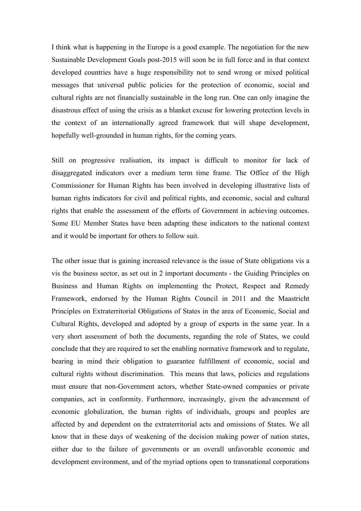I think what is happening in the Europe is a good example. The negotiation for the new Sustainable Development Goals post-2015 will soon be in full force and in that context developed countries have a huge responsibility not to send wrong or mixed political messages that universal public policies for the protection of economic, social and cultural rights are not financially sustainable in the long run. One can only imagine the disastrous effect of using the crisis as a blanket excuse for lowering protection levels in the context of an internationally agreed framework that will shape development, hopefully well-grounded in human rights, for the coming years.

Still on progressive realisation, its impact is difficult to monitor for lack of disaggregated indicators over a medium term time frame. The Office of the High Commissioner for Human Rights has been involved in developing illustrative lists of human rights indicators for civil and political rights, and economic, social and cultural rights that enable the assessment of the efforts of Government in achieving outcomes. Some EU Member States have been adapting these indicators to the national context and it would be important for others to follow suit.

The other issue that is gaining increased relevance is the issue of State obligations vis a vis the business sector, as set out in 2 important documents - the Guiding Principles on Business and Human Rights on implementing the Protect, Respect and Remedy Framework, endorsed by the Human Rights Council in 2011 and the Maastricht Principles on Extraterritorial Obligations of States in the area of Economic, Social and Cultural Rights, developed and adopted by a group of experts in the same year. In a very short assessment of both the documents, regarding the role of States, we could conclude that they are required to set the enabling normative framework and to regulate, bearing in mind their obligation to guarantee fulfillment of economic, social and cultural rights without discrimination. This means that laws, policies and regulations must ensure that non-Government actors, whether State-owned companies or private companies, act in conformity. Furthermore, increasingly, given the advancement of economic globalization, the human rights of individuals, groups and peoples are affected by and dependent on the extraterritorial acts and omissions of States. We all know that in these days of weakening of the decision making power of nation states, either due to the failure of governments or an overall unfavorable economic and development environment, and of the myriad options open to transnational corporations